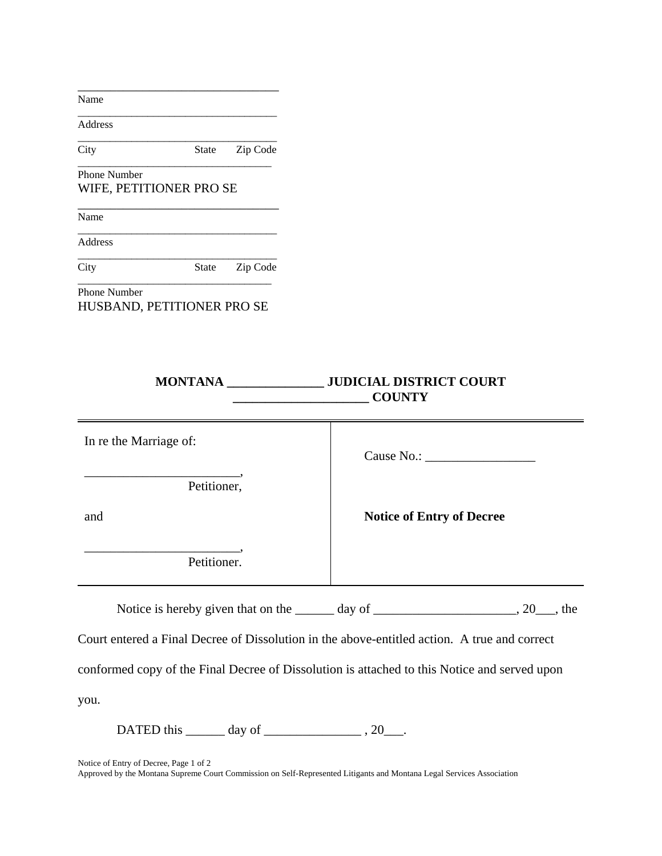| Name                   |                            |          |                                                  |
|------------------------|----------------------------|----------|--------------------------------------------------|
| Address                |                            |          |                                                  |
| City                   | <b>State</b>               | Zip Code |                                                  |
| <b>Phone Number</b>    |                            |          |                                                  |
|                        | WIFE, PETITIONER PRO SE    |          |                                                  |
| Name                   |                            |          |                                                  |
| Address                |                            |          |                                                  |
| City                   | State                      | Zip Code |                                                  |
| <b>Phone Number</b>    | HUSBAND, PETITIONER PRO SE |          |                                                  |
|                        |                            |          | MONTANA JUDICIAL DISTRICT COURT<br><b>COUNTY</b> |
| In re the Marriage of: |                            |          | Cause No.:                                       |
|                        |                            |          |                                                  |

| Cause No.: |  |
|------------|--|
|            |  |

**Notice of Entry of Decree**

and

\_\_\_\_\_\_\_\_\_\_\_\_\_\_\_\_\_\_\_\_\_\_\_\_, Petitioner.

Petitioner,

Notice is hereby given that on the \_\_\_\_\_\_ day of \_\_\_\_\_\_\_\_\_\_\_\_\_\_\_\_\_\_\_\_, 20\_\_\_, the

Court entered a Final Decree of Dissolution in the above-entitled action. A true and correct

conformed copy of the Final Decree of Dissolution is attached to this Notice and served upon

you.

DATED this  $\_\_\_\_\_\$  day of  $\_\_\_\_\_\_\_$ , 20 $\_\_\_\_\$ .

Notice of Entry of Decree, Page 1 of 2

Approved by the Montana Supreme Court Commission on Self-Represented Litigants and Montana Legal Services Association